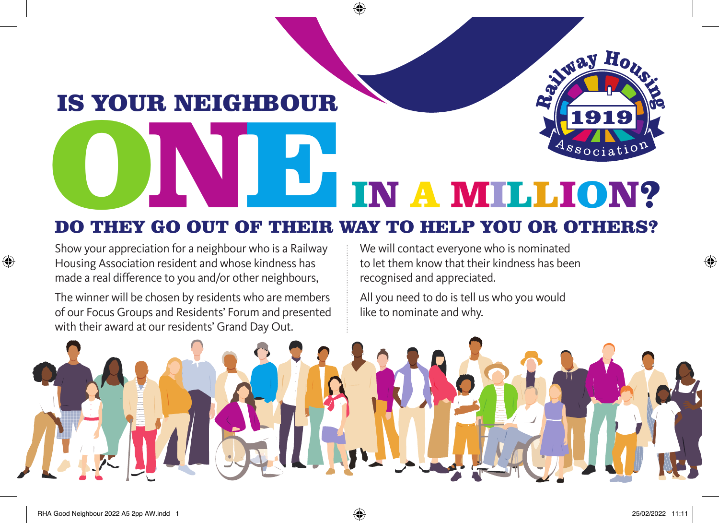## DO THEY GO OUT OF THEIR WAY TO HELP YOU OR OTHERS? IN A MILLION?

Show your appreciation for a neighbour who is a Railway Housing Association resident and whose kindness has made a real difference to you and/or other neighbours,

IS YOUR NEIGHBOUR

The winner will be chosen by residents who are members of our Focus Groups and Residents' Forum and presented with their award at our residents' Grand Day Out.

We will contact everyone who is nominated to let them know that their kindness has been recognised and appreciated.

NWay Ho

All you need to do is tell us who you would like to nominate and why.



◈

◈